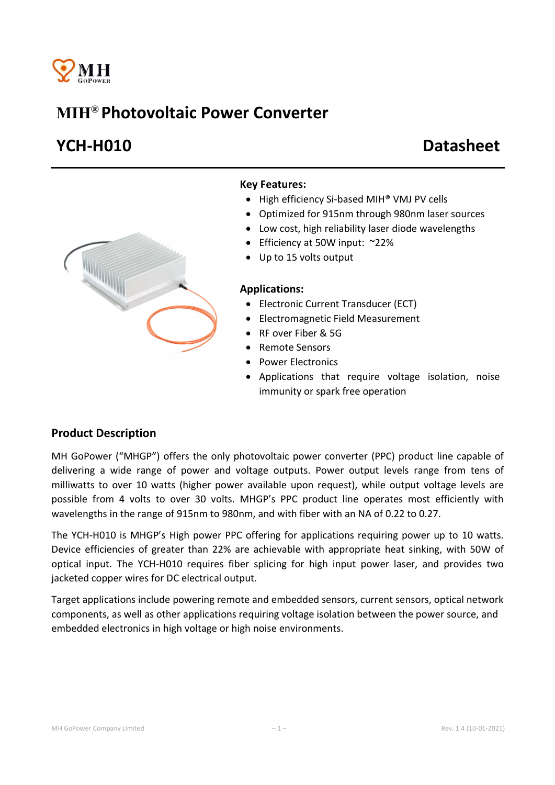

# MIH® Photovoltaic Power Converter

# YCH-H010 Datasheet



#### Key Features:

- High efficiency Si-based MIH<sup>®</sup> VMJ PV cells
- Optimized for 915nm through 980nm laser sources
- Low cost, high reliability laser diode wavelengths
- Efficiency at 50W input: ~22%
- Up to 15 volts output

#### Applications:

- Electronic Current Transducer (ECT)
- Electromagnetic Field Measurement
- RF over Fiber & 5G
- Remote Sensors
- Power Electronics
- Applications that require voltage isolation, noise immunity or spark free operation

### Product Description

MH GoPower ("MHGP") offers the only photovoltaic power converter (PPC) product line capable of delivering a wide range of power and voltage outputs. Power output levels range from tens of milliwatts to over 10 watts (higher power available upon request), while output voltage levels are possible from 4 volts to over 30 volts. MHGP's PPC product line operates most efficiently with wavelengths in the range of 915nm to 980nm, and with fiber with an NA of 0.22 to 0.27.

The YCH-H010 is MHGP's High power PPC offering for applications requiring power up to 10 watts. Device efficiencies of greater than 22% are achievable with appropriate heat sinking, with 50W of optical input. The YCH-H010 requires fiber splicing for high input power laser, and provides two jacketed copper wires for DC electrical output.

Target applications include powering remote and embedded sensors, current sensors, optical network components, as well as other applications requiring voltage isolation between the power source, and embedded electronics in high voltage or high noise environments.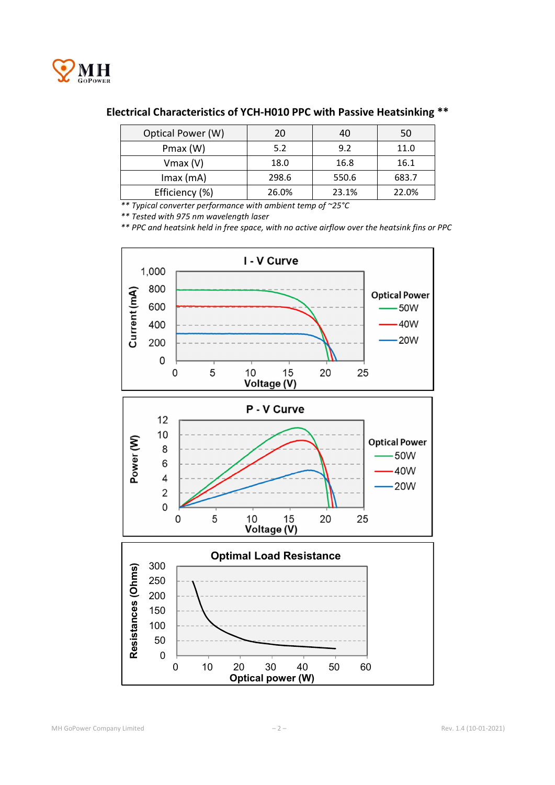

## Electrical Characteristics of YCH-H010 PPC with Passive Heatsinking \*\*

| Optical Power (W) | 20    | 40    | 50    |
|-------------------|-------|-------|-------|
| Pmax (W)          | 5.2   | 9.2   | 11.0  |
| $V$ max $(V)$     | 18.0  | 16.8  | 16.1  |
| $Imax$ (mA)       | 298.6 | 550.6 | 683.7 |
| Efficiency (%)    | 26.0% | 23.1% | 22.0% |

*\*\* Typical converter performance with ambient temp of ~25°C*

*\*\* Tested with 975 nm wavelength laser*

*\*\* PPC and heatsink held in free space, with no active airflow over the heatsink fins or PPC*